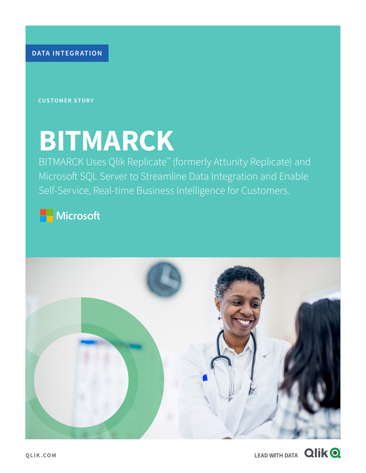**DATA INTEGRATION**

**CUSTOMER STORY**

# **BITMARCK**

BITMARCK Uses Qlik Replicate™ (formerly Attunity Replicate) and Microsoft SQL Server to Streamline Data Integration and Enable Self-Service, Real-time Business Intelligence for Customers.

Microsoft



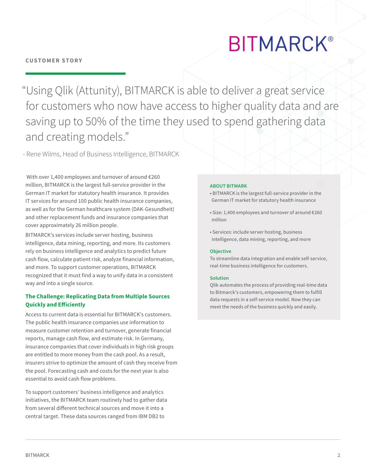## **BITMARCK®**

"Using Qlik (Attunity), BITMARCK is able to deliver a great service for customers who now have access to higher quality data and are saving up to 50% of the time they used to spend gathering data and creating models."

- Rene Wilms, Head of Business Intelligence, BITMARCK

With over 1,400 employees and turnover of around €260 million, BITMARCK is the largest full-service provider in the German IT market for statutory health insurance. It provides IT services for around 100 public health insurance companies, as well as for the German healthcare system (DAK-Gesundheit) and other replacement funds and insurance companies that cover approximately 26 million people.

BITMARCK's services include server hosting, business intelligence, data mining, reporting, and more. Its customers rely on business intelligence and analytics to predict future cash flow, calculate patient risk, analyze financial information, and more. To support customer operations, BITMARCK recognized that it must find a way to unify data in a consistent way and into a single source.

#### **The Challenge: Replicating Data from Multiple Sources Quickly and Efficiently**

Access to current data is essential for BITMARCK's customers. The public health insurance companies use information to measure customer retention and turnover, generate financial reports, manage cash flow, and estimate risk. In Germany, insurance companies that cover individuals in high risk groups are entitled to more money from the cash pool. As a result, insurers strive to optimize the amount of cash they receive from the pool. Forecasting cash and costs for the next year is also essential to avoid cash flow problems.

To support customers' business intelligence and analytics initiatives, the BITMARCK team routinely had to gather data from several different technical sources and move it into a central target. These data sources ranged from IBM DB2 to

#### **ABOUT BITMARK**

- BITMARCK is the largest full-service provider in the German IT market for statutory health insurance
- Size: 1,400 employees and turnover of around €260 million
- Services: include server hosting, business intelligence, data mining, reporting, and more

#### **Objective**

To streamline data integration and enable self-service, real-time business intelligence for customers.

#### **Solution**

Qlik automates the process of providing real-time data to Bitmarck's customers, empowering them to fulfill data requests in a self-service model. Now they can meet the needs of the business quickly and easily.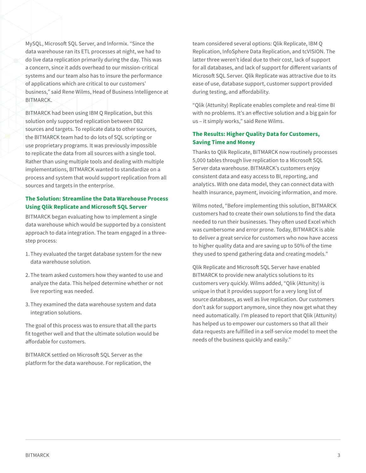MySQL, Microsoft SQL Server, and Informix. "Since the data warehouse ran its ETL processes at night, we had to do live data replication primarily during the day. This was a concern, since it adds overhead to our mission-critical systems and our team also has to insure the performance of applications which are critical to our customers' business," said Rene Wilms, Head of Business Intelligence at BITMARCK.

BITMARCK had been using IBM Q Replication, but this solution only supported replication between DB2 sources and targets. To replicate data to other sources, the BITMARCK team had to do lots of SQL scripting or use proprietary programs. It was previously impossible to replicate the data from all sources with a single tool. Rather than using multiple tools and dealing with multiple implementations, BITMARCK wanted to standardize on a process and system that would support replication from all sources and targets in the enterprise.

#### **The Solution: Streamline the Data Warehouse Process Using Qlik Replicate and Microsoft SQL Server**

BITMARCK began evaluating how to implement a single data warehouse which would be supported by a consistent approach to data integration. The team engaged in a threestep process:

- 1. They evaluated the target database system for the new data warehouse solution.
- 2.The team asked customers how they wanted to use and analyze the data. This helped determine whether or not live reporting was needed.
- 3. They examined the data warehouse system and data integration solutions.

The goal of this process was to ensure that all the parts fit together well and that the ultimate solution would be affordable for customers.

BITMARCK settled on Microsoft SQL Server as the platform for the data warehouse. For replication, the team considered several options: Qlik Replicate, IBM Q Replication, InfoSphere Data Replication, and tcVISION. The latter three weren't ideal due to their cost, lack of support for all databases, and lack of support for different variants of Microsoft SQL Server. Qlik Replicate was attractive due to its ease of use, database support, customer support provided during testing, and affordability.

"Qlik (Attunity) Replicate enables complete and real-time BI with no problems. It's an effective solution and a big gain for us – it simply works," said Rene Wilms.

#### **The Results: Higher Quality Data for Customers, Saving Time and Money**

Thanks to Qlik Replicate, BITMARCK now routinely processes 5,000 tables through live replication to a Microsoft SQL Server data warehouse. BITMARCK's customers enjoy consistent data and easy access to BI, reporting, and analytics. With one data model, they can connect data with health insurance, payment, invoicing information, and more.

Wilms noted, "Before implementing this solution, BITMARCK customers had to create their own solutions to find the data needed to run their businesses. They often used Excel which was cumbersome and error prone. Today, BITMARCK is able to deliver a great service for customers who now have access to higher quality data and are saving up to 50% of the time they used to spend gathering data and creating models."

Qlik Replicate and Microsoft SQL Server have enabled BITMARCK to provide new analytics solutions to its customers very quickly. Wilms added, "Qlik (Attunity) is unique in that it provides support for a very long list of source databases, as well as live replication. Our customers don't ask for support anymore, since they now get what they need automatically. I'm pleased to report that Qlik (Attunity) has helped us to empower our customers so that all their data requests are fulfilled in a self-service model to meet the needs of the business quickly and easily."